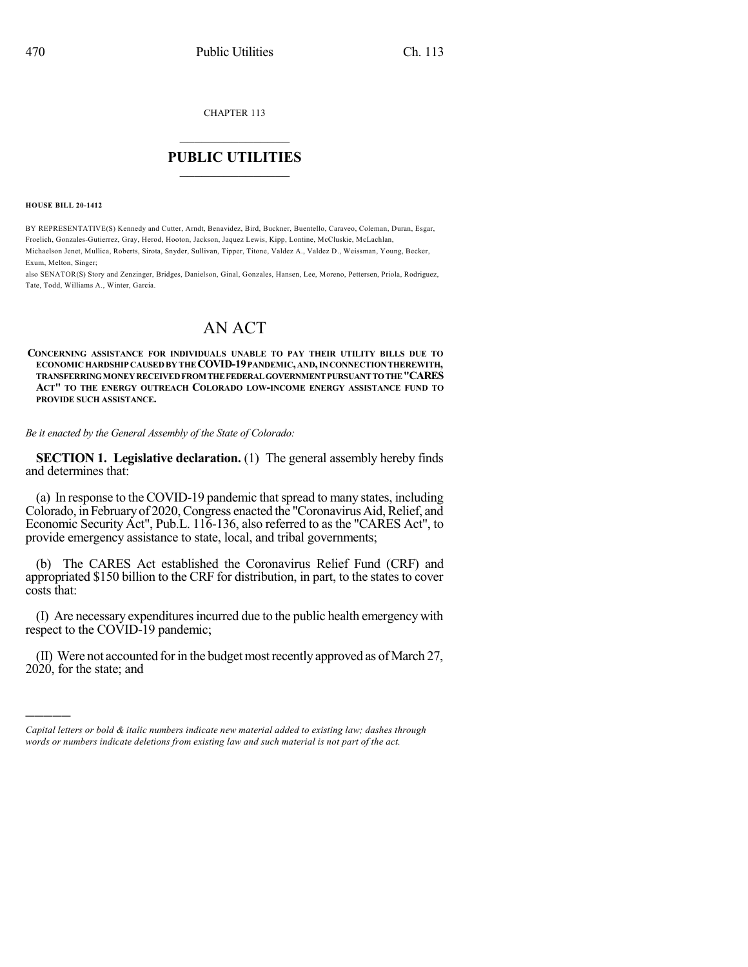CHAPTER 113

## $\mathcal{L}_\text{max}$  . The set of the set of the set of the set of the set of the set of the set of the set of the set of the set of the set of the set of the set of the set of the set of the set of the set of the set of the set **PUBLIC UTILITIES** \_\_\_\_\_\_\_\_\_\_\_\_\_\_\_

**HOUSE BILL 20-1412**

)))))

BY REPRESENTATIVE(S) Kennedy and Cutter, Arndt, Benavidez, Bird, Buckner, Buentello, Caraveo, Coleman, Duran, Esgar, Froelich, Gonzales-Gutierrez, Gray, Herod, Hooton, Jackson, Jaquez Lewis, Kipp, Lontine, McCluskie, McLachlan, Michaelson Jenet, Mullica, Roberts, Sirota, Snyder, Sullivan, Tipper, Titone, Valdez A., Valdez D., Weissman, Young, Becker, Exum, Melton, Singer;

also SENATOR(S) Story and Zenzinger, Bridges, Danielson, Ginal, Gonzales, Hansen, Lee, Moreno, Pettersen, Priola, Rodriguez, Tate, Todd, Williams A., Winter, Garcia.

## AN ACT

**CONCERNING ASSISTANCE FOR INDIVIDUALS UNABLE TO PAY THEIR UTILITY BILLS DUE TO ECONOMICHARDSHIP CAUSEDBY THECOVID-19PANDEMIC,AND,INCONNECTIONTHEREWITH, TRANSFERRINGMONEYRECEIVEDFROMTHEFEDERALGOVERNMENTPURSUANTTOTHE"CARES ACT" TO THE ENERGY OUTREACH COLORADO LOW-INCOME ENERGY ASSISTANCE FUND TO PROVIDE SUCH ASSISTANCE.**

*Be it enacted by the General Assembly of the State of Colorado:*

**SECTION 1. Legislative declaration.** (1) The general assembly hereby finds and determines that:

(a) In response to the COVID-19 pandemic that spread to many states, including Colorado, in February of 2020, Congress enacted the "Coronavirus Aid, Relief, and Economic Security Act", Pub.L. 116-136, also referred to as the "CARES Act", to provide emergency assistance to state, local, and tribal governments;

The CARES Act established the Coronavirus Relief Fund (CRF) and appropriated \$150 billion to the CRF for distribution, in part, to the states to cover costs that:

(I) Are necessary expendituresincurred due to the public health emergency with respect to the COVID-19 pandemic;

(II) Were not accounted for in the budget most recently approved as of March 27, 2020, for the state; and

*Capital letters or bold & italic numbers indicate new material added to existing law; dashes through words or numbers indicate deletions from existing law and such material is not part of the act.*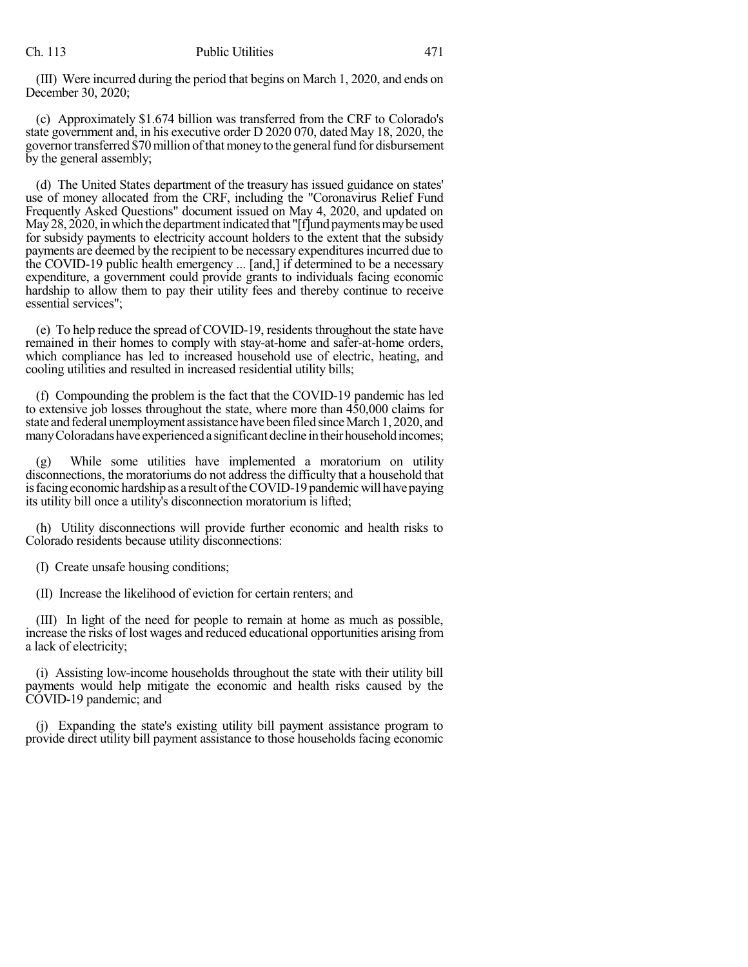(III) Were incurred during the period that begins on March 1, 2020, and ends on December 30, 2020;

(c) Approximately \$1.674 billion was transferred from the CRF to Colorado's state government and, in his executive order D 2020 070, dated May 18, 2020, the governor transferred \$70 million of that money to the general fund for disbursement by the general assembly;

(d) The United States department of the treasury has issued guidance on states' use of money allocated from the CRF, including the "Coronavirus Relief Fund Frequently Asked Questions" document issued on May 4, 2020, and updated on May  $28$ ,  $2020$ , in which the department indicated that "[f]und payments may be used for subsidy payments to electricity account holders to the extent that the subsidy payments are deemed by the recipient to be necessary expendituresincurred due to the COVID-19 public health emergency ... [and,] if determined to be a necessary expenditure, a government could provide grants to individuals facing economic hardship to allow them to pay their utility fees and thereby continue to receive essential services";

(e) To help reduce the spread of COVID-19, residents throughout the state have remained in their homes to comply with stay-at-home and safer-at-home orders, which compliance has led to increased household use of electric, heating, and cooling utilities and resulted in increased residential utility bills;

(f) Compounding the problem is the fact that the COVID-19 pandemic has led to extensive job losses throughout the state, where more than 450,000 claims for state and federal unemployment assistance have been filed since March 1, 2020, and many Coloradans have experienced a significant decline in their household incomes;

(g) While some utilities have implemented a moratorium on utility disconnections, the moratoriums do not address the difficulty that a household that is facing economic hardship as a result of the COVID-19 pandemic will have paying its utility bill once a utility's disconnection moratorium is lifted;

(h) Utility disconnections will provide further economic and health risks to Colorado residents because utility disconnections:

(I) Create unsafe housing conditions;

(II) Increase the likelihood of eviction for certain renters; and

(III) In light of the need for people to remain at home as much as possible, increase the risks of lost wages and reduced educational opportunities arising from a lack of electricity;

(i) Assisting low-income households throughout the state with their utility bill payments would help mitigate the economic and health risks caused by the COVID-19 pandemic; and

(j) Expanding the state's existing utility bill payment assistance program to provide direct utility bill payment assistance to those households facing economic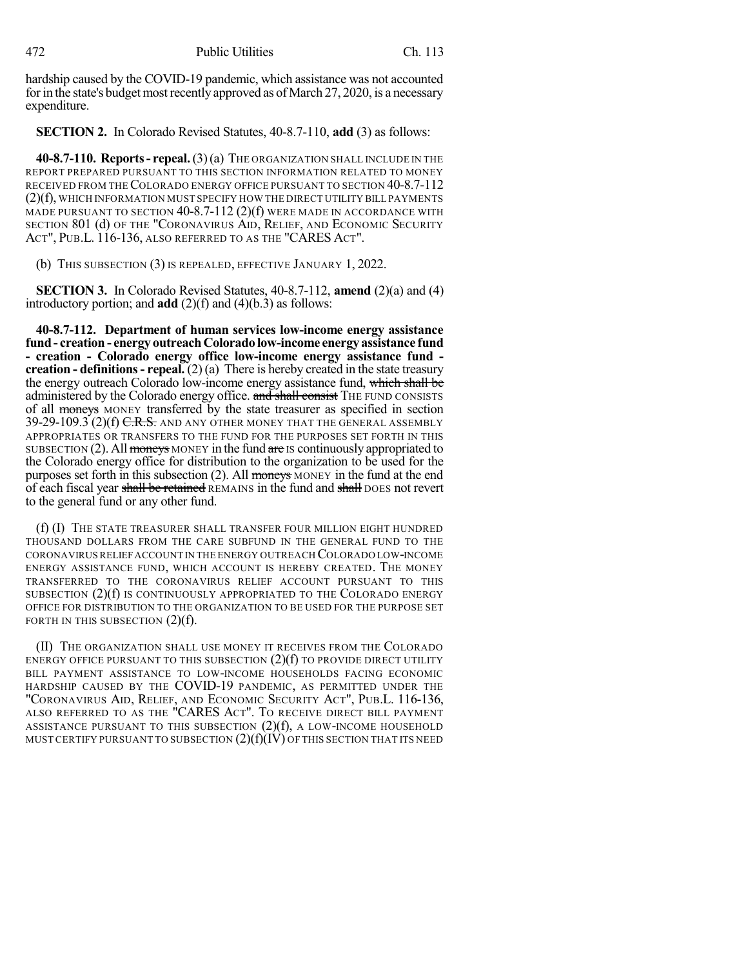hardship caused by the COVID-19 pandemic, which assistance was not accounted for in the state's budget most recently approved as of March 27, 2020, is a necessary expenditure.

**SECTION 2.** In Colorado Revised Statutes, 40-8.7-110, **add** (3) as follows:

**40-8.7-110. Reports- repeal.**(3)(a) THE ORGANIZATION SHALL INCLUDE IN THE REPORT PREPARED PURSUANT TO THIS SECTION INFORMATION RELATED TO MONEY RECEIVED FROM THECOLORADO ENERGY OFFICE PURSUANT TO SECTION 40-8.7-112 (2)(f), WHICH INFORMATION MUST SPECIFY HOW THE DIRECT UTILITY BILL PAYMENTS MADE PURSUANT TO SECTION 40-8.7-112 (2)(f) WERE MADE IN ACCORDANCE WITH SECTION 801 (d) OF THE "CORONAVIRUS AID, RELIEF, AND ECONOMIC SECURITY ACT", PUB.L. 116-136, ALSO REFERRED TO AS THE "CARES ACT".

(b) THIS SUBSECTION (3) IS REPEALED, EFFECTIVE JANUARY 1, 2022.

**SECTION 3.** In Colorado Revised Statutes, 40-8.7-112, **amend** (2)(a) and (4) introductory portion; and **add** (2)(f) and (4)(b.3) as follows:

**40-8.7-112. Department of human services low-income energy assistance fund- creation - energy outreachColorado low-income energy assistance fund - creation - Colorado energy office low-income energy assistance fund creation - definitions- repeal.** (2) (a) There is hereby created in the state treasury the energy outreach Colorado low-income energy assistance fund, which shall be administered by the Colorado energy office. and shall consist THE FUND CONSISTS of all moneys MONEY transferred by the state treasurer as specified in section  $39-29-109.3$  (2)(f) C.R.S. and any other money that the general assembly APPROPRIATES OR TRANSFERS TO THE FUND FOR THE PURPOSES SET FORTH IN THIS SUBSECTION  $(2)$ . All moneys MONEY in the fund are IS continuously appropriated to the Colorado energy office for distribution to the organization to be used for the purposes set forth in this subsection  $(2)$ . All moneys MONEY in the fund at the end of each fiscal year shall be retained REMAINS in the fund and shall DOES not revert to the general fund or any other fund.

(f) (I) THE STATE TREASURER SHALL TRANSFER FOUR MILLION EIGHT HUNDRED THOUSAND DOLLARS FROM THE CARE SUBFUND IN THE GENERAL FUND TO THE CORONAVIRUSRELIEFACCOUNT IN THE ENERGY OUTREACH COLORADO LOW-INCOME ENERGY ASSISTANCE FUND, WHICH ACCOUNT IS HEREBY CREATED. THE MONEY TRANSFERRED TO THE CORONAVIRUS RELIEF ACCOUNT PURSUANT TO THIS SUBSECTION (2)(f) IS CONTINUOUSLY APPROPRIATED TO THE COLORADO ENERGY OFFICE FOR DISTRIBUTION TO THE ORGANIZATION TO BE USED FOR THE PURPOSE SET FORTH IN THIS SUBSECTION  $(2)(f)$ .

(II) THE ORGANIZATION SHALL USE MONEY IT RECEIVES FROM THE COLORADO ENERGY OFFICE PURSUANT TO THIS SUBSECTION  $(2)(f)$  to provide direct utility BILL PAYMENT ASSISTANCE TO LOW-INCOME HOUSEHOLDS FACING ECONOMIC HARDSHIP CAUSED BY THE COVID-19 PANDEMIC, AS PERMITTED UNDER THE "CORONAVIRUS AID, RELIEF, AND ECONOMIC SECURITY ACT", PUB.L. 116-136, ALSO REFERRED TO AS THE "CARES ACT". TO RECEIVE DIRECT BILL PAYMENT ASSISTANCE PURSUANT TO THIS SUBSECTION  $(2)(f)$ , a LOW-INCOME HOUSEHOLD MUST CERTIFY PURSUANT TO SUBSECTION  $(2)(f)(I\dot{V})$  of this section that its need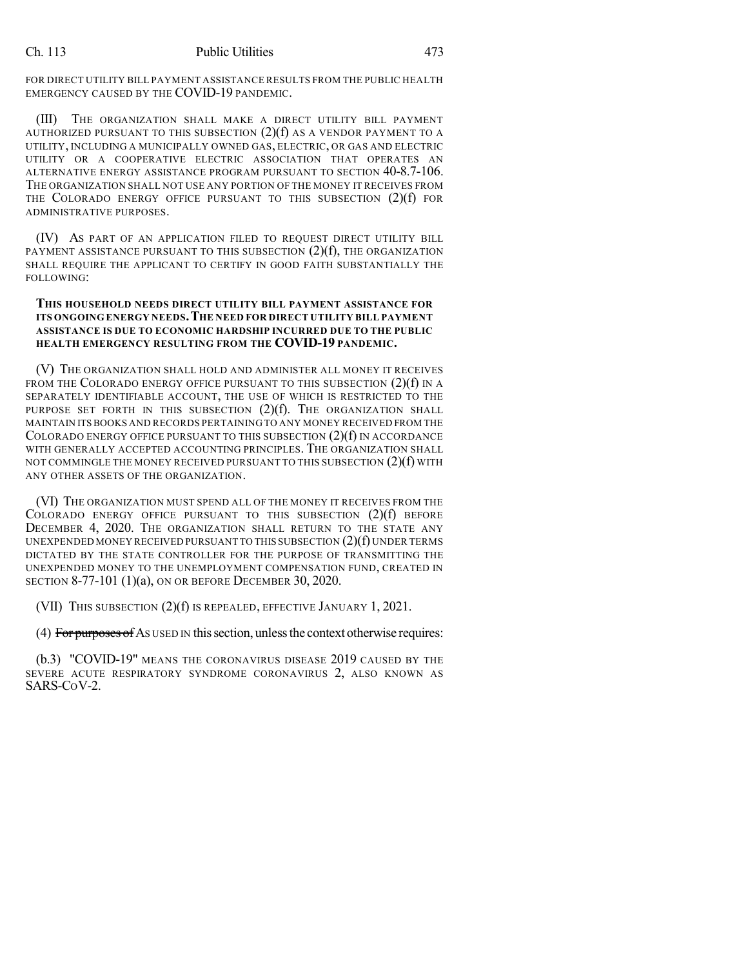FOR DIRECT UTILITY BILL PAYMENT ASSISTANCE RESULTS FROM THE PUBLIC HEALTH EMERGENCY CAUSED BY THE COVID-19 PANDEMIC.

(III) THE ORGANIZATION SHALL MAKE A DIRECT UTILITY BILL PAYMENT AUTHORIZED PURSUANT TO THIS SUBSECTION  $(2)(f)$  as a vendor payment to a UTILITY, INCLUDING A MUNICIPALLY OWNED GAS, ELECTRIC, OR GAS AND ELECTRIC UTILITY OR A COOPERATIVE ELECTRIC ASSOCIATION THAT OPERATES AN ALTERNATIVE ENERGY ASSISTANCE PROGRAM PURSUANT TO SECTION 40-8.7-106. THE ORGANIZATION SHALL NOT USE ANY PORTION OF THE MONEY IT RECEIVES FROM THE COLORADO ENERGY OFFICE PURSUANT TO THIS SUBSECTION (2)(f) FOR ADMINISTRATIVE PURPOSES.

(IV) AS PART OF AN APPLICATION FILED TO REQUEST DIRECT UTILITY BILL PAYMENT ASSISTANCE PURSUANT TO THIS SUBSECTION  $(2)(f)$ , THE ORGANIZATION SHALL REQUIRE THE APPLICANT TO CERTIFY IN GOOD FAITH SUBSTANTIALLY THE FOLLOWING:

## **THIS HOUSEHOLD NEEDS DIRECT UTILITY BILL PAYMENT ASSISTANCE FOR ITS ONGOING ENERGY NEEDS.THE NEED FOR DIRECT UTILITY BILL PAYMENT ASSISTANCE IS DUE TO ECONOMIC HARDSHIP INCURRED DUE TO THE PUBLIC HEALTH EMERGENCY RESULTING FROM THE COVID-19 PANDEMIC.**

(V) THE ORGANIZATION SHALL HOLD AND ADMINISTER ALL MONEY IT RECEIVES FROM THE COLORADO ENERGY OFFICE PURSUANT TO THIS SUBSECTION  $(2)(f)$  in a SEPARATELY IDENTIFIABLE ACCOUNT, THE USE OF WHICH IS RESTRICTED TO THE PURPOSE SET FORTH IN THIS SUBSECTION (2)(f). THE ORGANIZATION SHALL MAINTAIN ITS BOOKS AND RECORDS PERTAINING TO ANY MONEY RECEIVED FROM THE COLORADO ENERGY OFFICE PURSUANT TO THIS SUBSECTION (2)(f) IN ACCORDANCE WITH GENERALLY ACCEPTED ACCOUNTING PRINCIPLES. THE ORGANIZATION SHALL NOT COMMINGLE THE MONEY RECEIVED PURSUANT TO THIS SUBSECTION (2)(f) WITH ANY OTHER ASSETS OF THE ORGANIZATION.

(VI) THE ORGANIZATION MUST SPEND ALL OF THE MONEY IT RECEIVES FROM THE COLORADO ENERGY OFFICE PURSUANT TO THIS SUBSECTION (2)(f) BEFORE DECEMBER 4, 2020. THE ORGANIZATION SHALL RETURN TO THE STATE ANY UNEXPENDED MONEY RECEIVED PURSUANT TO THIS SUBSECTION  $(2)(f)$  UNDER TERMS DICTATED BY THE STATE CONTROLLER FOR THE PURPOSE OF TRANSMITTING THE UNEXPENDED MONEY TO THE UNEMPLOYMENT COMPENSATION FUND, CREATED IN SECTION 8-77-101 (1)(a), ON OR BEFORE DECEMBER 30, 2020.

(VII) THIS SUBSECTION (2)(f) IS REPEALED, EFFECTIVE JANUARY 1, 2021.

(4) For purposes of As used IN this section, unless the context otherwise requires:

(b.3) "COVID-19" MEANS THE CORONAVIRUS DISEASE 2019 CAUSED BY THE SEVERE ACUTE RESPIRATORY SYNDROME CORONAVIRUS 2, ALSO KNOWN AS SARS-COV-2.